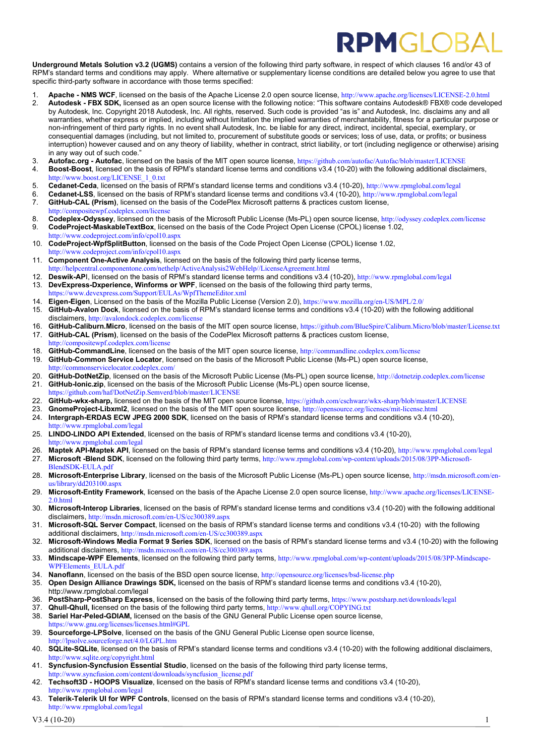## **RPMGIO**

**Underground Metals Solution v3.2 (UGMS)** contains a version of the following third party software, in respect of which clauses 16 and/or 43 of RPM's standard terms and conditions may apply. Where alternative or supplementary license conditions are detailed below you agree to use that specific third-party software in accordance with those terms specified:

- 1. **Apache NMS WCF**, licensed on the basis of the Apache License 2.0 open source license, <http://www.apache.org/licenses/LICENSE-2.0.html><br>2. **Autodesk FBX SDK**, licensed as an open source license with the following not
- 2. **Autodesk - FBX SDK,** licensed as an open source license with the following notice: "This software contains Autodesk® FBX® code developed by Autodesk, Inc. Copyright 2018 Autodesk, Inc. All rights, reserved. Such code is provided "as is" and Autodesk, Inc. disclaims any and all warranties, whether express or implied, including without limitation the implied warranties of merchantability, fitness for a particular purpose or non-infringement of third party rights. In no event shall Autodesk, Inc. be liable for any direct, indirect, incidental, special, exemplary, or consequential damages (including, but not limited to, procurement of substitute goods or services; loss of use, data, or profits; or business interruption) however caused and on any theory of liability, whether in contract, strict liability, or tort (including negligence or otherwise) arising in any way out of such code."
- 3. **Autofac.org - Autofac**, licensed on the basis of the MIT open source license, <https://github.com/autofac/Autofac/blob/master/LICENSE>
- 4. **Boost-Boost**, licensed on the basis of RPM's standard license terms and conditions v3.4 (10-20) with the following additional disclaimers, [http://www.boost.org/LICENSE\\_1\\_0.txt](http://www.boost.org/LICENSE_1_0.txt)
- 5. **Cedanet-Ceda**, licensed on the basis of RPM's standard license terms and conditions v3.4 (10-20), <http://www.rpmglobal.com/legal><br>6. **Cedanet-LSS** licensed on the basis of RPM's standard license terms and conditions v3.
- 6. **Cedanet-LSS**, licensed on the basis of RPM's standard license terms and conditions v3.4 ( $10-20$ ), <http://www.rpmglobal.com/legal><br>7 **GitHub-CAL (Prism)** licensed on the basis of the CodePlex Microsoft patterns & pract
- **GitHub-CAL (Prism)**, licensed on the basis of the CodePlex Microsoft patterns & practices custom license, <http://compositewpf.codeplex.com/license>
- 8. **Codeplex-Odyssey**, licensed on the basis of the Microsoft Public License (Ms-PL) open source license, <http://odyssey.codeplex.com/license> 9. **CodeProject-MaskableTextBox**, licensed on the basis of the Code Project Open License (CPOL) license 1.02,
- <http://www.codeproject.com/info/cpol10.aspx> 10. **CodeProject-WpfSplitButton**, licensed on the basis of the Code Project Open License (CPOL) license 1.02,
- <http://www.codeproject.com/info/cpol10.aspx> 11. **Component One-Active Analysis**, licensed on the basis of the following third party license terms,
- [http://helpcentral.componentone.com/nethelp/ActiveAnalysis2WebHelp//LicenseAgreement.html](http://helpcentral.componentone.com/nethelp/ActiveAnalysis2WebHelp/LicenseAgreement.html)
- Deswik-API, licensed on the basis of RPM's standard license terms and conditions v3.4 (10-20), <http://www.rpmglobal.com/legal> 13. **DevExpress-Dxperience, Winforms or WPF**, licensed on the basis of the following third party terms,
- <https://www.devexpress.com/Support/EULAs/WpfThemeEditor.xml>
- 14. **Eigen-Eigen**, Licensed on the basis of the Mozilla Public License (Version 2.0), <https://www.mozilla.org/en-US/MPL/2.0/>
- 15. **GitHub-Avalon Dock**, licensed on the basis of RPM's standard license terms and conditions v3.4 (10-20) with the following additional disclaimers, <http://avalondock.codeplex.com/license>
- 16. **GitHub-Caliburn.Micro**, licensed on the basis of the MIT open source license, <https://github.com/BlueSpire/Caliburn.Micro/blob/master/License.txt> 17. **GitHub-CAL (Prism)**, licensed on the basis of the CodePlex Microsoft patterns & practices custom license,
- <http://compositewpf.codeplex.com/license> 18. **GitHub-CommandLine**, licensed on the basis of the MIT open source license, <http://commandline.codeplex.com/license>
- 19. **GitHub-Common Service Locator**, licensed on the basis of the Microsoft Public License (Ms-PL) open source license,
- <http://commonservicelocator.codeplex.com/>
- 20. **GitHub-DotNetZip**, licensed on the basis of the Microsoft Public License (Ms-PL) open source license, <http://dotnetzip.codeplex.com/license> 21. **GitHub-Ionic.zip**, licensed on the basis of the Microsoft Public License (Ms-PL) open source license, /github.com/haf/DotNetZip.Semverd/blob/master/LICENSE
- 
- 22. GitHub-wkx-sharp, licensed on the basis of the MIT open source license, <https://github.com/cschwarz/wkx-sharp/blob/master/LICENSE><br>23. GnomeProject-Libxml2 licensed on the basis of the MIT open source license, http://op 23. **GnomeProject-Libxml2**, licensed on the basis of the MIT open source license, <http://opensource.org/licenses/mit-license.html>
- 24. **Intergraph-ERDAS ECW JPEG 2000 SDK**, licensed on the basis of RPM's standard license terms and conditions v3.4 (10-20),
- <http://www.rpmglobal.com/legal>
- 25. **LINDO-LINDO API Extended**, licensed on the basis of RPM's standard license terms and conditions v3.4 (10-20), <http://www.rpmglobal.com/legal>
- 26. **Maptek API-Maptek API**, licensed on the basis of RPM's standard license terms and conditions v3.4 (10-20), <http://www.rpmglobal.com/legal><br>27 **Microsoft -Blend SDK** licensed on the following third party terms http://ww
- 27. **Microsoft -Blend SDK**, licensed on the following third party terms, [http://www.rpmglobal.com/wp-content/uploads/2015/08/3PP-Microsoft-](http://www.rpmglobal.com/wp-content/uploads/2015/08/3PP-Microsoft-BlendSDK-EULA.pdf)[BlendSDK-EULA.pdf](http://www.rpmglobal.com/wp-content/uploads/2015/08/3PP-Microsoft-BlendSDK-EULA.pdf)
- 28. **Microsoft-Enterprise Library**, licensed on the basis of the Microsoft Public License (Ms-PL) open source license, [http://msdn.microsoft.com/en](http://msdn.microsoft.com/en-us/library/dd203100.aspx)[us/library/dd203100.aspx](http://msdn.microsoft.com/en-us/library/dd203100.aspx)
- 29. **Microsoft-Entity Framework**, licensed on the basis of the Apache License 2.0 open source license, [http://www.apache.org/licenses/LICENSE-](http://www.apache.org/licenses/LICENSE-2.0.html)[2.0.html](http://www.apache.org/licenses/LICENSE-2.0.html)
- 30. **Microsoft-Interop Libraries**, licensed on the basis of RPM's standard license terms and conditions v3.4 (10-20) with the following additional disclaimers, <http://msdn.microsoft.com/en-US/cc300389.aspx>
- 31. **Microsoft-SQL Server Compact**, licensed on the basis of RPM's standard license terms and conditions v3.4 (10-20) with the following additional disclaimers, http://msdn.microsoft.com/en-US/cc300389.asp
- 32. **Microsoft-Windows Media Format 9 Series SDK**, licensed on the basis of RPM's standard license terms and v3.4 (10-20) with the following additional disclaimers, <http://msdn.microsoft.com/en-US/cc300389.aspx>
- 33. **Mindscape-WPF Elements**, licensed on the following third party terms, [http://www.rpmglobal.com/wp-content/uploads/2015/08/3PP-Mindscape-](http://www.rpmglobal.com/wp-content/uploads/2015/08/3PP-Mindscape-WPFElements_EULA.pdf)[WPFElements\\_EULA.pdf](http://www.rpmglobal.com/wp-content/uploads/2015/08/3PP-Mindscape-WPFElements_EULA.pdf)
- 34. **Nanoflann**, licensed on the basis of the BSD open source license, <http://opensource.org/licenses/bsd-license.php>
- 35. **Open Design Alliance Drawings SDK,** licensed on the basis of RPM's standard license terms and conditions v3.4 (10-20), http://www.rpmglobal.com/legal
- 36. **PostSharp-PostSharp Express**, licensed on the basis of the following third party terms, <https://www.postsharp.net/downloads/legal>
- 37. **Qhull-Qhull, l**icensed on the basis of the following third party terms, <http://www.qhull.org/COPYING.txt> 38. **Sariel Har-Peled-GDIAM,** licensed on the basis of the GNU General Public License open source license, <https://www.gnu.org/licenses/licenses.html#GPL>
- 39. **Sourceforge-LPSolve**, licensed on the basis of the GNU General Public License open source license, <http://lpsolve.sourceforge.net/4.0/LGPL.htm>
- 40. **SQLite-SQLite**, licensed on the basis of RPM's standard license terms and conditions v3.4 (10-20) with the following additional disclaimers, <http://www.sqlite.org/copyright.html>
- 41. **Syncfusion-Syncfusion Essential Studio**, licensed on the basis of the following third party license terms, [http://www.syncfusion.com/content/downloads/syncfusion\\_license.pdf](http://www.syncfusion.com/content/downloads/syncfusion_license.pdf)
- 42. **Techsoft3D - HOOPS Visualize**, licensed on the basis of RPM's standard license terms and conditions v3.4 (10-20), <http://www.rpmglobal.com/legal>
- 43. **Telerik-Telerik UI for WPF Controls**, licensed on the basis of RPM's standard license terms and conditions v3.4 (10-20), <http://www.rpmglobal.com/legal>